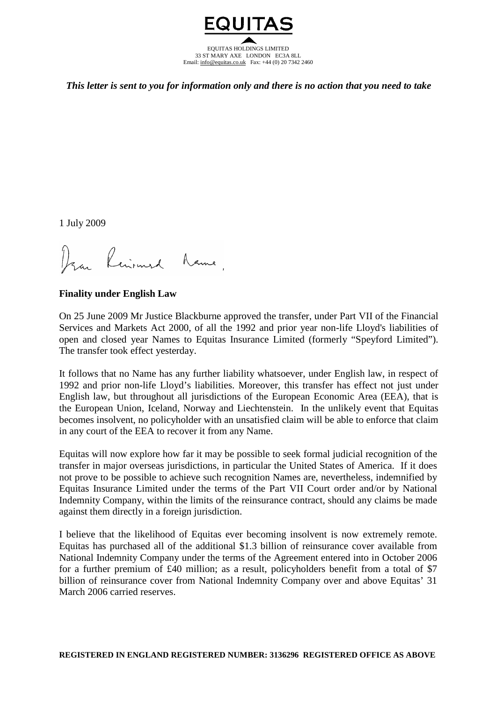

*This letter is sent to you for information only and there is no action that you need to take*

1 July 2009

Dran Reinmard Name,

**Finality under English Law**

On 25 June 2009 Mr Justice Blackburne approved the transfer, under Part VII of the Financial Services and Markets Act 2000, of all the 1992 and prior year non-life Lloyd's liabilities of open and closed year Names to Equitas Insurance Limited (formerly "Speyford Limited"). The transfer took effect yesterday.

It follows that no Name has any further liability whatsoever, under English law, in respect of 1992 and prior non-life Lloyd's liabilities. Moreover, this transfer has effect not just under English law, but throughout all jurisdictions of the European Economic Area (EEA), that is the European Union, Iceland, Norway and Liechtenstein. In the unlikely event that Equitas becomes insolvent, no policyholder with an unsatisfied claim will be able to enforce that claim in any court of the EEA to recover it from any Name.

Equitas will now explore how far it may be possible to seek formal judicial recognition of the transfer in major overseas jurisdictions, in particular the United States of America. If it does not prove to be possible to achieve such recognition Names are, nevertheless, indemnified by Equitas Insurance Limited under the terms of the Part VII Court order and/or by National Indemnity Company, within the limits of the reinsurance contract, should any claims be made against them directly in a foreign jurisdiction.

I believe that the likelihood of Equitas ever becoming insolvent is now extremely remote. Equitas has purchased all of the additional \$1.3 billion of reinsurance cover available from National Indemnity Company under the terms of the Agreement entered into in October 2006 for a further premium of £40 million; as a result, policyholders benefit from a total of \$7 billion of reinsurance cover from National Indemnity Company over and above Equitas' 31 March 2006 carried reserves.